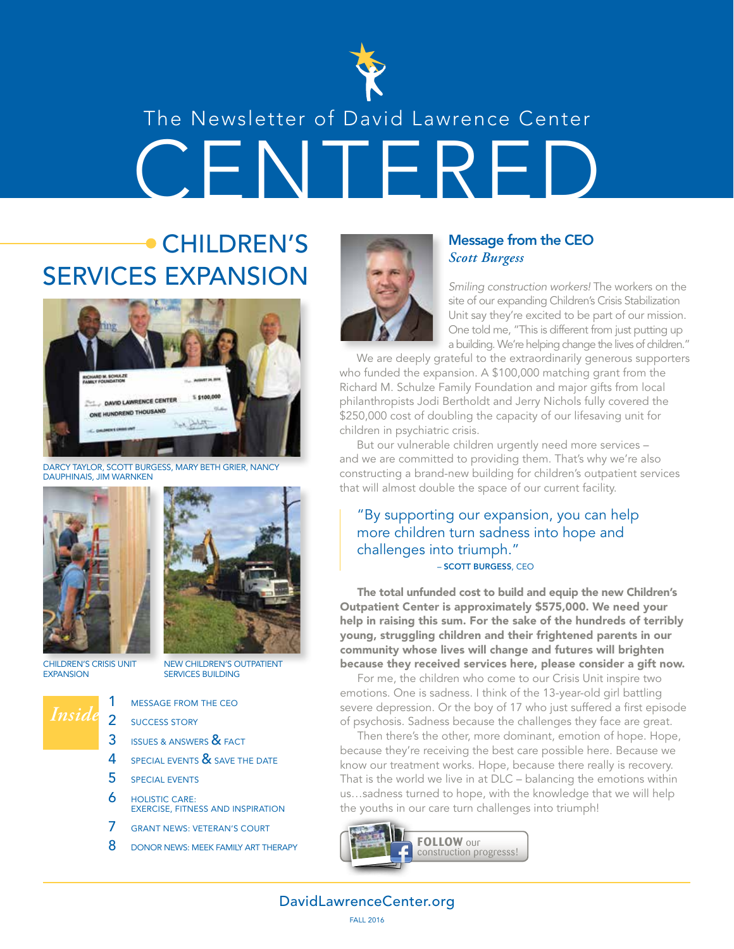

# CENTERED The Newsletter of David Lawrence Center

# CHILDREN'S SERVICES EXPANSION **Similing construction workers!** The workers on the



DARCY TAYLOR, SCOTT BURGESS, MARY BETH GRIER, NANCY DAUPHINAIS, JIM WARNKEN





CHILDREN'S CRISIS UNIT **EXPANSION** 

- NEW CHILDREN'S OUTPATIENT SERVICES BUILDING
- *Inside*
- MESSAGE FROM THE CEO
- 2 SUCCESS STORY
- 3 **ISSUES & ANSWERS & FACT**
- 4 SPECIAL EVENTS & SAVE THE DATE
- 5 SPECIAL EVENTS
- 6 HOLISTIC CARE: EXERCISE, FITNESS AND INSPIRATION
- 7 GRANT NEWS: VETERAN'S COURT
- 8 DONOR NEWS: MEEK FAMILY ART THERAPY



#### Message from the CEO *Scott Burgess*

site of our expanding Children's Crisis Stabilization Unit say they're excited to be part of our mission. One told me, "This is different from just putting up a building. We're helping change the lives of children."

We are deeply grateful to the extraordinarily generous supporters who funded the expansion. A \$100,000 matching grant from the Richard M. Schulze Family Foundation and major gifts from local philanthropists Jodi Bertholdt and Jerry Nichols fully covered the \$250,000 cost of doubling the capacity of our lifesaving unit for children in psychiatric crisis.

But our vulnerable children urgently need more services – and we are committed to providing them. That's why we're also constructing a brand-new building for children's outpatient services that will almost double the space of our current facility.

#### "By supporting our expansion, you can help more children turn sadness into hope and challenges into triumph." – SCOTT BURGESS, CEO

The total unfunded cost to build and equip the new Children's Outpatient Center is approximately \$575,000. We need your help in raising this sum. For the sake of the hundreds of terribly young, struggling children and their frightened parents in our community whose lives will change and futures will brighten because they received services here, please consider a gift now.

For me, the children who come to our Crisis Unit inspire two emotions. One is sadness. I think of the 13-year-old girl battling severe depression. Or the boy of 17 who just suffered a first episode of psychosis. Sadness because the challenges they face are great.

Then there's the other, more dominant, emotion of hope. Hope, because they're receiving the best care possible here. Because we know our treatment works. Hope, because there really is recovery. That is the world we live in at DLC – balancing the emotions within us…sadness turned to hope, with the knowledge that we will help the youths in our care turn challenges into triumph!



DavidLawrenceCenter.org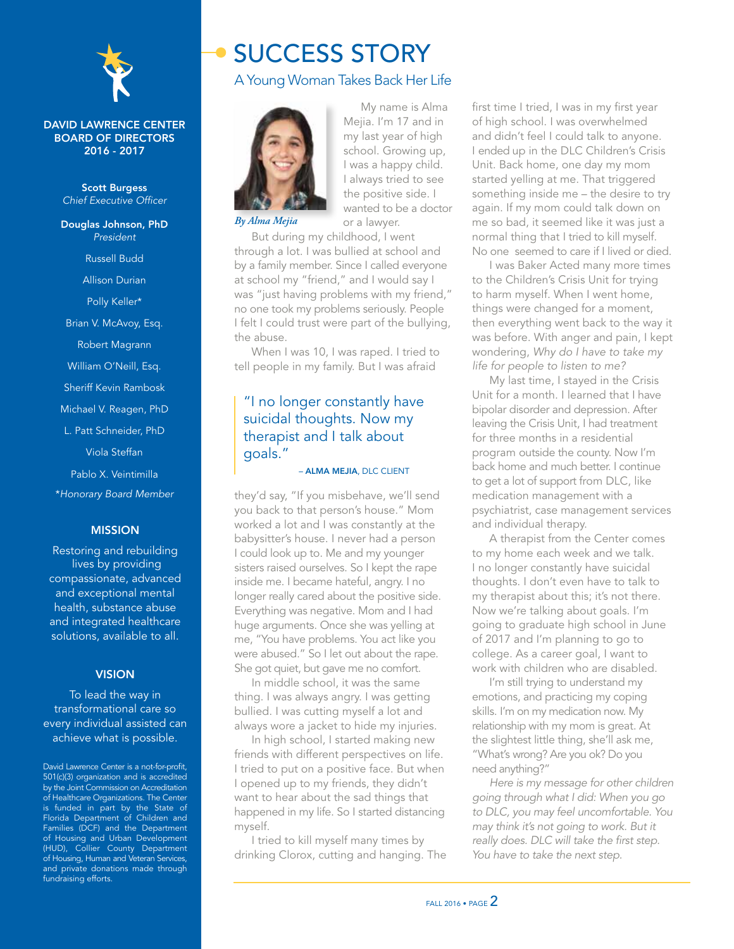

#### DAVID LAWRENCE CENTER BOARD OF DIRECTORS 2016 - 2017

Scott Burgess *Chief Executive Officer*

Douglas Johnson, PhD *President* Russell Budd Allison Durian

Polly Keller\*

Brian V. McAvoy, Esq.

Robert Magrann

William O'Neill, Esq.

Sheriff Kevin Rambosk

Michael V. Reagen, PhD

L. Patt Schneider, PhD

Viola Steffan

Pablo X. Veintimilla

\**Honorary Board Member*

#### MISSION

Restoring and rebuilding lives by providing compassionate, advanced and exceptional mental health, substance abuse and integrated healthcare solutions, available to all.

#### **VISION**

To lead the way in transformational care so every individual assisted can achieve what is possible.

David Lawrence Center is a not-for-profit, 501(c)(3) organization and is accredited by the Joint Commission on Accreditation of Healthcare Organizations. The Center is funded in part by the State of Florida Department of Children and Families (DCF) and the Department of Housing and Urban Development (HUD), Collier County Department of Housing, Human and Veteran Services, and private donations made through fundraising efforts.

### SUCCESS STORY

#### A Young Woman Takes Back Her Life



Mejia. I'm 17 and in my last year of high school. Growing up, I was a happy child. I always tried to see the positive side. I wanted to be a doctor or a lawyer.

My name is Alma

*By Alma Mejia*

But during my childhood, I went through a lot. I was bullied at school and by a family member. Since I called everyone at school my "friend," and I would say I was "just having problems with my friend," no one took my problems seriously. People I felt I could trust were part of the bullying, the abuse.

When I was 10, I was raped. I tried to tell people in my family. But I was afraid

#### "I no longer constantly have suicidal thoughts. Now my therapist and I talk about goals."

#### – ALMA MEJIA, DLC CLIENT

they'd say, "If you misbehave, we'll send you back to that person's house." Mom worked a lot and I was constantly at the babysitter's house. I never had a person I could look up to. Me and my younger sisters raised ourselves. So I kept the rape inside me. I became hateful, angry. I no longer really cared about the positive side. Everything was negative. Mom and I had huge arguments. Once she was yelling at me, "You have problems. You act like you were abused." So I let out about the rape. She got quiet, but gave me no comfort.

In middle school, it was the same thing. I was always angry. I was getting bullied. I was cutting myself a lot and always wore a jacket to hide my injuries.

In high school, I started making new friends with different perspectives on life. I tried to put on a positive face. But when I opened up to my friends, they didn't want to hear about the sad things that happened in my life. So I started distancing myself.

I tried to kill myself many times by drinking Clorox, cutting and hanging. The first time I tried, I was in my first year of high school. I was overwhelmed and didn't feel I could talk to anyone. I ended up in the DLC Children's Crisis Unit. Back home, one day my mom started yelling at me. That triggered something inside me – the desire to try again. If my mom could talk down on me so bad, it seemed like it was just a normal thing that I tried to kill myself. No one seemed to care if I lived or died.

I was Baker Acted many more times to the Children's Crisis Unit for trying to harm myself. When I went home, things were changed for a moment, then everything went back to the way it was before. With anger and pain, I kept wondering, *Why do I have to take my life for people to listen to me?*

My last time, I stayed in the Crisis Unit for a month. I learned that I have bipolar disorder and depression. After leaving the Crisis Unit, I had treatment for three months in a residential program outside the county. Now I'm back home and much better. I continue to get a lot of support from DLC, like medication management with a psychiatrist, case management services and individual therapy.

A therapist from the Center comes to my home each week and we talk. I no longer constantly have suicidal thoughts. I don't even have to talk to my therapist about this; it's not there. Now we're talking about goals. I'm going to graduate high school in June of 2017 and I'm planning to go to college. As a career goal, I want to work with children who are disabled.

I'm still trying to understand my emotions, and practicing my coping skills. I'm on my medication now. My relationship with my mom is great. At the slightest little thing, she'll ask me, "What's wrong? Are you ok? Do you need anything?"

*Here is my message for other children going through what I did: When you go to DLC, you may feel uncomfortable. You may think it's not going to work. But it really does. DLC will take the first step. You have to take the next step.*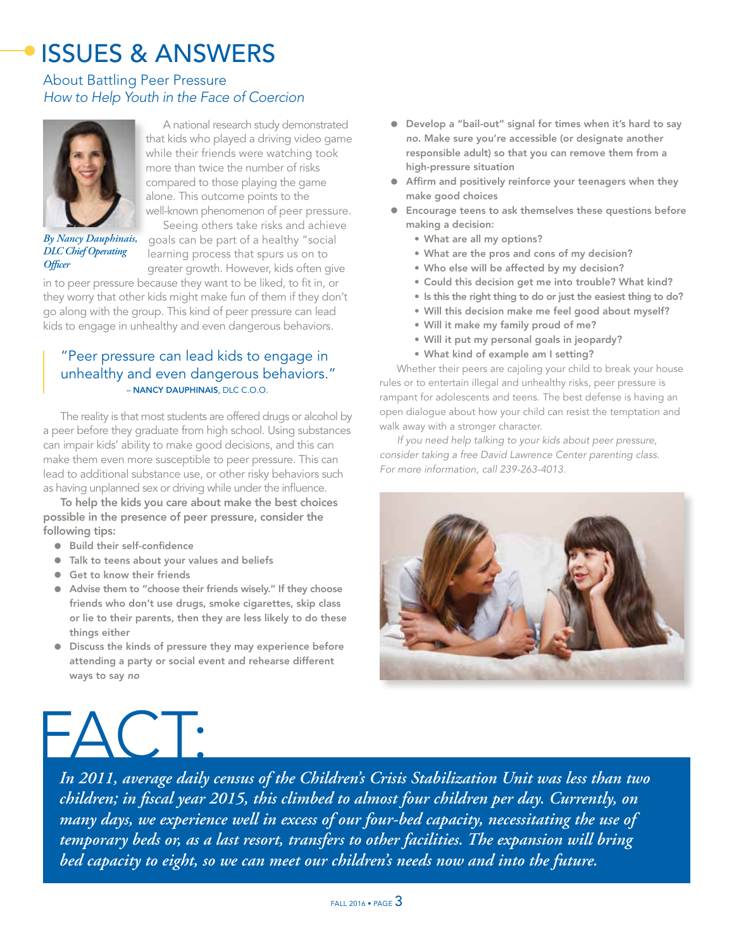# ISSUES & ANSWERS

#### About Battling Peer Pressure *How to Help Youth in the Face of Coercion*



A national research study demonstrated that kids who played a driving video game while their friends were watching took more than twice the number of risks compared to those playing the game alone. This outcome points to the

*By Nancy Dauphinais, DLC Chief Operating Officer*

well-known phenomenon of peer pressure. Seeing others take risks and achieve goals can be part of a healthy "social learning process that spurs us on to

 greater growth. However, kids often give in to peer pressure because they want to be liked, to fit in, or

they worry that other kids might make fun of them if they don't go along with the group. This kind of peer pressure can lead kids to engage in unhealthy and even dangerous behaviors.

#### "Peer pressure can lead kids to engage in unhealthy and even dangerous behaviors." – NANCY DAUPHINAIS, DLC C.O.O.

The reality is that most students are offered drugs or alcohol by a peer before they graduate from high school. Using substances can impair kids' ability to make good decisions, and this can make them even more susceptible to peer pressure. This can lead to additional substance use, or other risky behaviors such as having unplanned sex or driving while under the influence.

To help the kids you care about make the best choices possible in the presence of peer pressure, consider the following tips:

- Build their self-confidence
- Talk to teens about your values and beliefs
- Get to know their friends
- Advise them to "choose their friends wisely." If they choose friends who don't use drugs, smoke cigarettes, skip class or lie to their parents, then they are less likely to do these things either
- Discuss the kinds of pressure they may experience before attending a party or social event and rehearse different ways to say *no*
- Develop a "bail-out" signal for times when it's hard to say *no*. Make sure you're accessible (or designate another responsible adult) so that you can remove them from a high-pressure situation
- Affirm and positively reinforce your teenagers when they make good choices
- Encourage teens to ask themselves these questions before making a decision:
	- What are all my options?
	- What are the pros and cons of my decision?
	- Who else will be affected by my decision?
	- Could this decision get me into trouble? What kind?
	- Is this the right thing to do or just the easiest thing to do?
	- Will this decision make me feel good about myself?
	- Will it make my family proud of me?
	- Will it put my personal goals in jeopardy?
	- What kind of example am I setting?

Whether their peers are cajoling your child to break your house rules or to entertain illegal and unhealthy risks, peer pressure is rampant for adolescents and teens. The best defense is having an open dialogue about how your child can resist the temptation and walk away with a stronger character.

*If you need help talking to your kids about peer pressure, consider taking a free David Lawrence Center parenting class. For more information, call 239-263-4013.* 





*In 2011, average daily census of the Children's Crisis Stabilization Unit was less than two children; in fiscal year 2015, this climbed to almost four children per day. Currently, on many days, we experience well in excess of our four-bed capacity, necessitating the use of temporary beds or, as a last resort, transfers to other facilities. The expansion will bring bed capacity to eight, so we can meet our children's needs now and into the future.*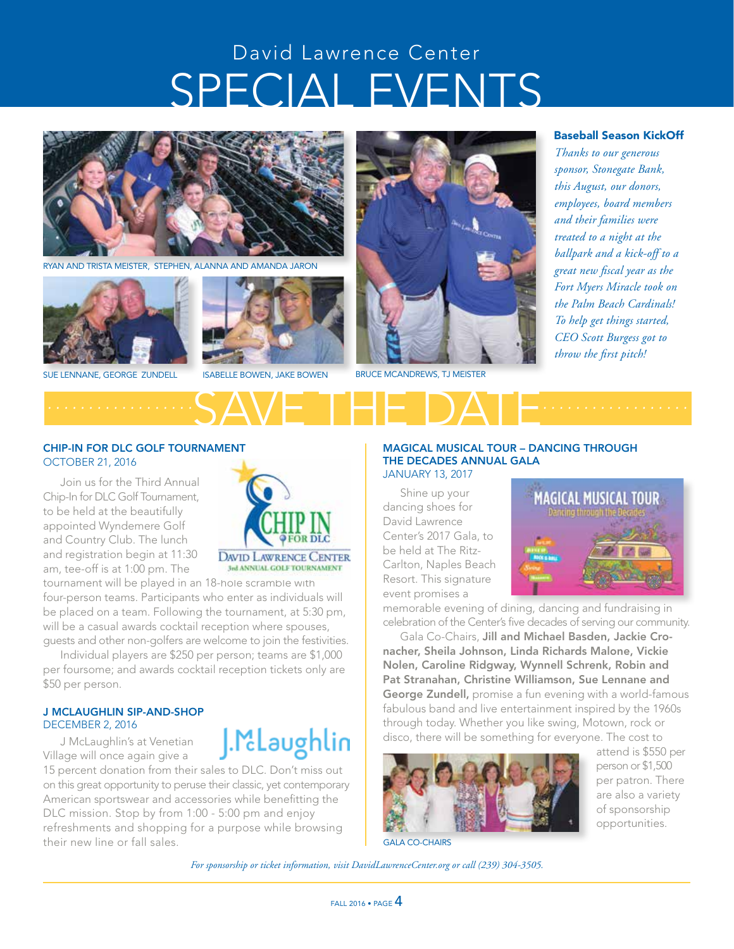# SPECIAL EVENTS David Lawrence Center



RYAN AND TRISTA MEISTER, STEPHEN, ALANNA AND AMANDA JARON



SUE LENNANE, GEORGE ZUNDELL ISABELLE BOWEN, JAKE BOWEN



BRUCE MCANDREWS, TJ MEISTER

SAVE THE DATE *.................. ..................*

#### Baseball Season KickOff

*Thanks to our generous sponsor, Stonegate Bank, this August, our donors, employees, board members and their families were treated to a night at the ballpark and a kick-off to a great new fiscal year as the Fort Myers Miracle took on the Palm Beach Cardinals! To help get things started, CEO Scott Burgess got to throw the first pitch!*

#### CHIP-IN FOR DLC GOLF TOURNAMENT OCTOBER 21, 2016

Join us for the Third Annual Chip-In for DLC Golf Tournament, to be held at the beautifully appointed Wyndemere Golf and Country Club. The lunch and registration begin at 11:30 am, tee-off is at 1:00 pm. The



J.M.Laughlin

tournament will be played in an 18-hole scramble with four-person teams. Participants who enter as individuals will be placed on a team. Following the tournament, at 5:30 pm, will be a casual awards cocktail reception where spouses, guests and other non-golfers are welcome to join the festivities.

Individual players are \$250 per person; teams are \$1,000 per foursome; and awards cocktail reception tickets only are \$50 per person.

#### J MCLAUGHLIN SIP-AND-SHOP DECEMBER 2, 2016

J McLaughlin's at Venetian Village will once again give a

15 percent donation from their sales to DLC. Don't miss out on this great opportunity to peruse their classic, yet contemporary American sportswear and accessories while benefitting the DLC mission. Stop by from 1:00 - 5:00 pm and enjoy refreshments and shopping for a purpose while browsing their new line or fall sales.

#### MAGICAL MUSICAL TOUR – DANCING THROUGH THE DECADES ANNUAL GALA JANUARY 13, 2017

Shine up your dancing shoes for David Lawrence Center's 2017 Gala, to be held at The Ritz-Carlton, Naples Beach Resort. This signature event promises a



memorable evening of dining, dancing and fundraising in celebration of the Center's five decades of serving our community.

Gala Co-Chairs, Jill and Michael Basden, Jackie Cronacher, Sheila Johnson, Linda Richards Malone, Vickie Nolen, Caroline Ridgway, Wynnell Schrenk, Robin and Pat Stranahan, Christine Williamson, Sue Lennane and George Zundell, promise a fun evening with a world-famous fabulous band and live entertainment inspired by the 1960s through today. Whether you like swing, Motown, rock or disco, there will be something for everyone. The cost to



 attend is \$550 per person or \$1,500 per patron. There are also a variety of sponsorship opportunities.

GALA CO-CHAIRS

*For sponsorship or ticket information, visit DavidLawrenceCenter.org or call (239) 304-3505.*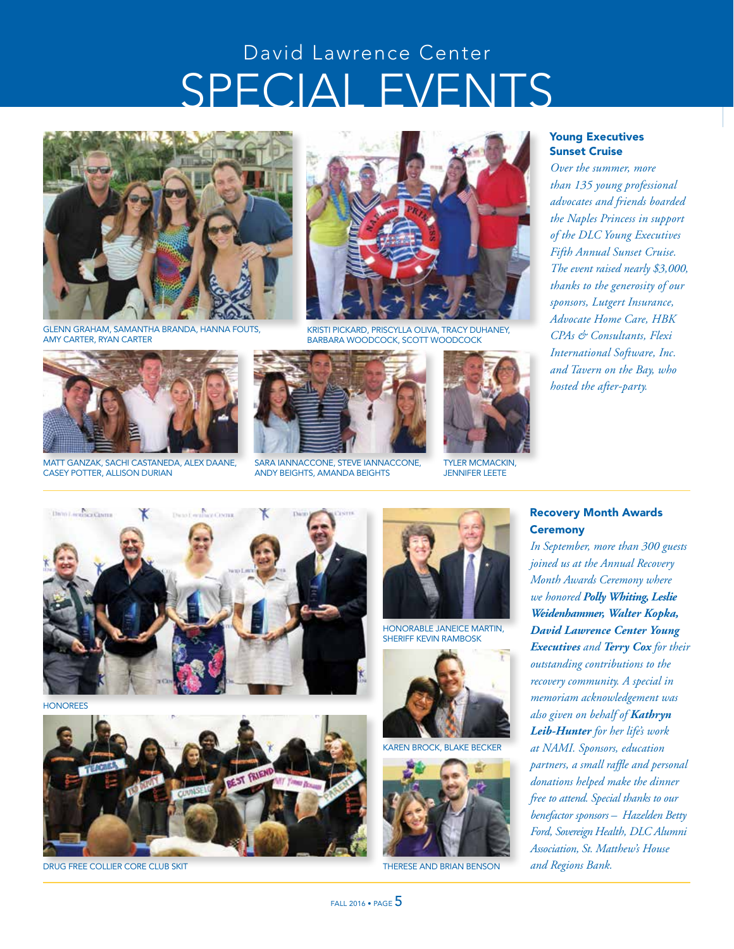# SPECIAL EVENTS David Lawrence Center



GLENN GRAHAM, SAMANTHA BRANDA, HANNA FOUTS, AMY CARTER, RYAN CARTER



MATT GANZAK, SACHI CASTANEDA, ALEX DAANE, CASEY POTTER, ALLISON DURIAN



KRISTI PICKARD, PRISCYLLA OLIVA, TRACY DUHANEY, BARBARA WOODCOCK, SCOTT WOODCOCK



SARA IANNACCONE, STEVE IANNACCONE, ANDY BEIGHTS, AMANDA BEIGHTS



TYLER MCMACKIN, JENNIFER LEETE

#### Young Executives Sunset Cruise

*Over the summer, more than 135 young professional advocates and friends boarded the Naples Princess in support of the DLC Young Executives Fifth Annual Sunset Cruise. The event raised nearly \$3,000, thanks to the generosity of our sponsors, Lutgert Insurance, Advocate Home Care, HBK CPAs & Consultants, Flexi International Software, Inc. and Tavern on the Bay, who hosted the after-party.*



HONOREES



DRUG FREE COLLIER CORE CLUB SKIT



HONORABLE JANEICE MARTIN, SHERIFF KEVIN RAMBOSK



AREN BROCK, BLAKE BECKER



THERESE AND BRIAN BENSON

#### Recovery Month Awards **Ceremony**

*In September, more than 300 guests joined us at the Annual Recovery Month Awards Ceremony where we honored Polly Whiting, Leslie Weidenhammer, Walter Kopka, David Lawrence Center Young Executives and Terry Cox for their outstanding contributions to the recovery community. A special in memoriam acknowledgement was also given on behalf of Kathryn Leib-Hunter for her life's work at NAMI. Sponsors, education partners, a small raffle and personal donations helped make the dinner free to attend. Special thanks to our benefactor sponsors – Hazelden Betty Ford, Sovereign Health, DLC Alumni Association, St. Matthew's House and Regions Bank.*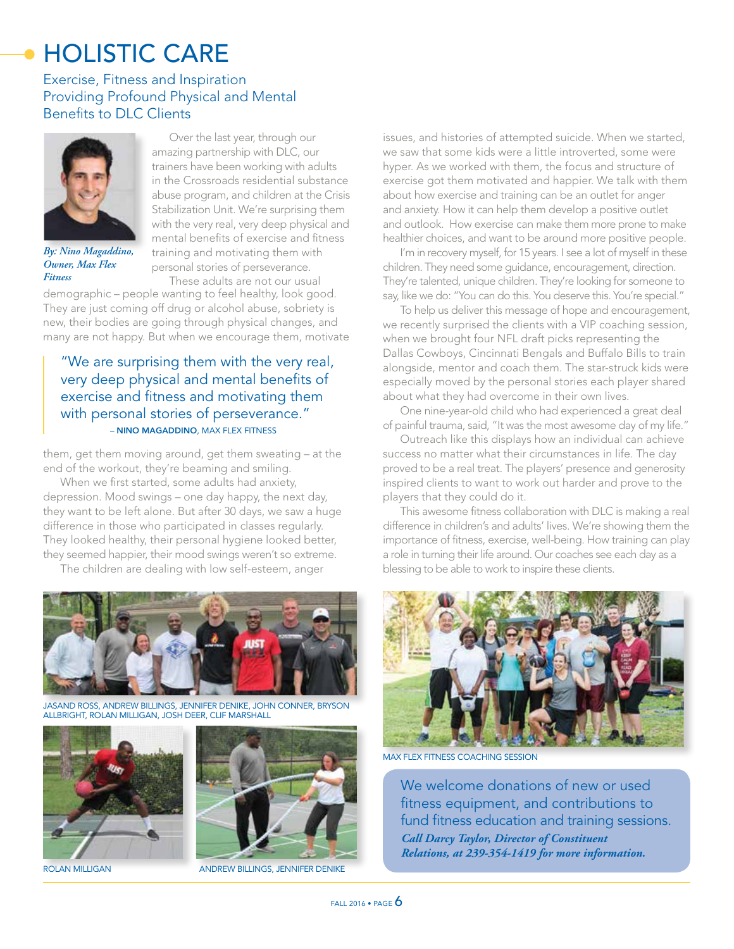# HOLISTIC CARE

#### Exercise, Fitness and Inspiration Providing Profound Physical and Mental Benefits to DLC Clients



*By: Nino Magaddino, Owner, Max Flex Fitness*

Over the last year, through our amazing partnership with DLC, our trainers have been working with adults in the Crossroads residential substance abuse program, and children at the Crisis Stabilization Unit. We're surprising them with the very real, very deep physical and mental benefits of exercise and fitness training and motivating them with personal stories of perseverance. These adults are not our usual

demographic – people wanting to feel healthy, look good. They are just coming off drug or alcohol abuse, sobriety is new, their bodies are going through physical changes, and many are not happy. But when we encourage them, motivate

#### "We are surprising them with the very real, very deep physical and mental benefits of exercise and fitness and motivating them with personal stories of perseverance." – NINO MAGADDINO, MAX FLEX FITNESS

them, get them moving around, get them sweating – at the end of the workout, they're beaming and smiling.

When we first started, some adults had anxiety, depression. Mood swings – one day happy, the next day, they want to be left alone. But after 30 days, we saw a huge difference in those who participated in classes regularly. They looked healthy, their personal hygiene looked better, they seemed happier, their mood swings weren't so extreme.

The children are dealing with low self-esteem, anger



JASAND ROSS, ANDREW BILLINGS, JENNIFER DENIKE, JOHN CONNER, BRYSON ALLBRIGHT, ROLAN MILLIGAN, JOSH DEER, CLIF MARSHALL





ROLAN MILLIGAN ANDREW BILLINGS, JENNIFER DENIKE

issues, and histories of attempted suicide. When we started, we saw that some kids were a little introverted, some were hyper. As we worked with them, the focus and structure of exercise got them motivated and happier. We talk with them about how exercise and training can be an outlet for anger and anxiety. How it can help them develop a positive outlet and outlook. How exercise can make them more prone to make healthier choices, and want to be around more positive people.

I'm in recovery myself, for 15 years. I see a lot of myself in these children. They need some guidance, encouragement, direction. They're talented, unique children. They're looking for someone to say, like we do: "You can do this. You deserve this. You're special."

To help us deliver this message of hope and encouragement, we recently surprised the clients with a VIP coaching session, when we brought four NFL draft picks representing the Dallas Cowboys, Cincinnati Bengals and Buffalo Bills to train alongside, mentor and coach them. The star-struck kids were especially moved by the personal stories each player shared about what they had overcome in their own lives.

One nine-year-old child who had experienced a great deal of painful trauma, said, "It was the most awesome day of my life."

Outreach like this displays how an individual can achieve success no matter what their circumstances in life. The day proved to be a real treat. The players' presence and generosity inspired clients to want to work out harder and prove to the players that they could do it.

This awesome fitness collaboration with DLC is making a real difference in children's and adults' lives. We're showing them the importance of fitness, exercise, well-being. How training can play a role in turning their life around. Our coaches see each day as a blessing to be able to work to inspire these clients.



MAX FLEX FITNESS COACHING SESSION

We welcome donations of new or used fitness equipment, and contributions to fund fitness education and training sessions. *Call Darcy Taylor, Director of Constituent Relations, at 239-354-1419 for more information.*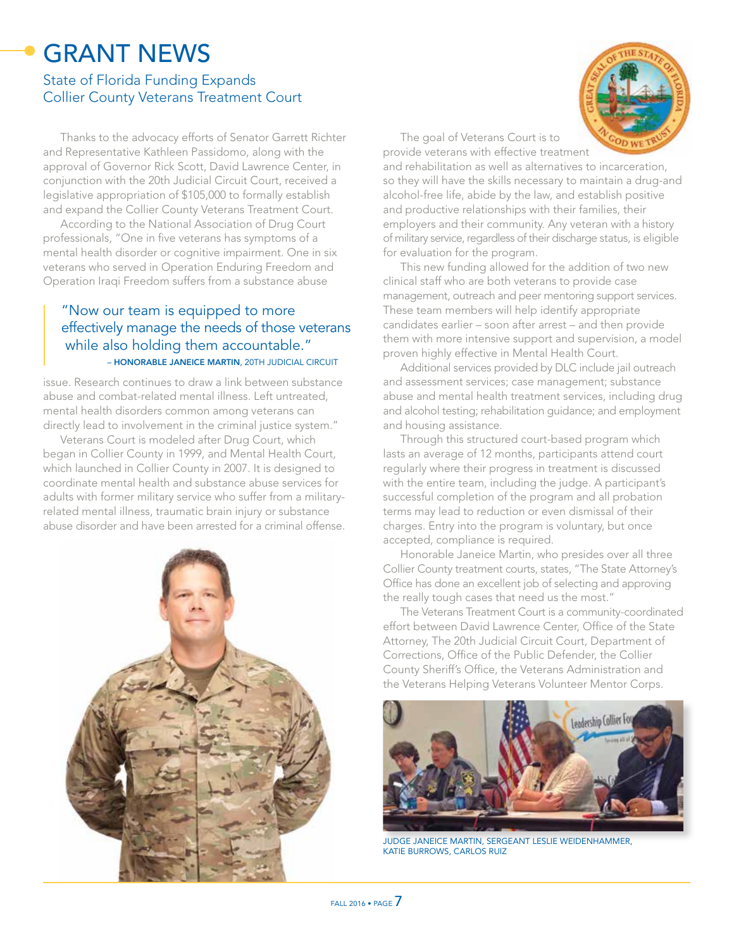## GRANT NEWS

#### State of Florida Funding Expands Collier County Veterans Treatment Court

Thanks to the advocacy efforts of Senator Garrett Richter and Representative Kathleen Passidomo, along with the approval of Governor Rick Scott, David Lawrence Center, in conjunction with the 20th Judicial Circuit Court, received a legislative appropriation of \$105,000 to formally establish and expand the Collier County Veterans Treatment Court.

According to the National Association of Drug Court professionals, "One in five veterans has symptoms of a mental health disorder or cognitive impairment. One in six veterans who served in Operation Enduring Freedom and Operation Iraqi Freedom suffers from a substance abuse

#### "Now our team is equipped to more effectively manage the needs of those veterans while also holding them accountable." – HONORABLE JANEICE MARTIN, 20TH JUDICIAL CIRCUIT

issue. Research continues to draw a link between substance abuse and combat-related mental illness. Left untreated, mental health disorders common among veterans can directly lead to involvement in the criminal justice system."

Veterans Court is modeled after Drug Court, which began in Collier County in 1999, and Mental Health Court, which launched in Collier County in 2007. It is designed to coordinate mental health and substance abuse services for adults with former military service who suffer from a militaryrelated mental illness, traumatic brain injury or substance abuse disorder and have been arrested for a criminal offense.





The goal of Veterans Court is to provide veterans with effective treatment

and rehabilitation as well as alternatives to incarceration, so they will have the skills necessary to maintain a drug-and alcohol-free life, abide by the law, and establish positive and productive relationships with their families, their employers and their community. Any veteran with a history of military service, regardless of their discharge status, is eligible for evaluation for the program.

This new funding allowed for the addition of two new clinical staff who are both veterans to provide case management, outreach and peer mentoring support services. These team members will help identify appropriate candidates earlier – soon after arrest – and then provide them with more intensive support and supervision, a model proven highly effective in Mental Health Court.

Additional services provided by DLC include jail outreach and assessment services; case management; substance abuse and mental health treatment services, including drug and alcohol testing; rehabilitation guidance; and employment and housing assistance.

Through this structured court-based program which lasts an average of 12 months, participants attend court regularly where their progress in treatment is discussed with the entire team, including the judge. A participant's successful completion of the program and all probation terms may lead to reduction or even dismissal of their charges. Entry into the program is voluntary, but once accepted, compliance is required.

Honorable Janeice Martin, who presides over all three Collier County treatment courts, states, "The State Attorney's Office has done an excellent job of selecting and approving the really tough cases that need us the most."

The Veterans Treatment Court is a community-coordinated effort between David Lawrence Center, Office of the State Attorney, The 20th Judicial Circuit Court, Department of Corrections, Office of the Public Defender, the Collier County Sheriff's Office, the Veterans Administration and the Veterans Helping Veterans Volunteer Mentor Corps.



JUDGE JANEICE MARTIN, SERGEANT LESLIE WEIDENHAMMER, KATIE BURROWS, CARLOS RUIZ